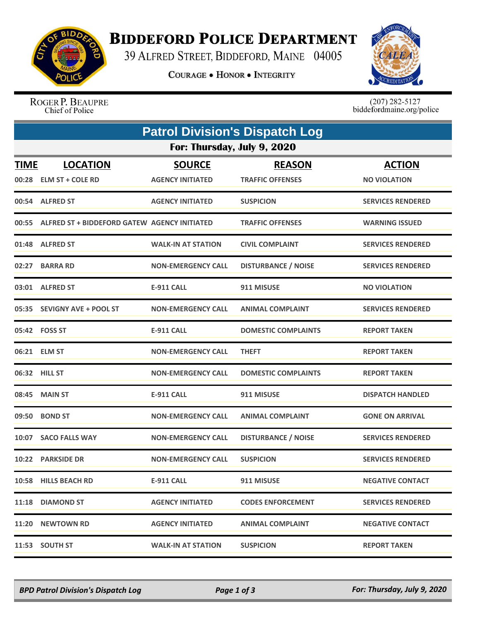

## **BIDDEFORD POLICE DEPARTMENT**

39 ALFRED STREET, BIDDEFORD, MAINE 04005

**COURAGE . HONOR . INTEGRITY** 



ROGER P. BEAUPRE Chief of Police

 $(207)$  282-5127<br>biddefordmaine.org/police

| <b>Patrol Division's Dispatch Log</b> |                                                    |                                          |                                          |                                      |  |  |  |
|---------------------------------------|----------------------------------------------------|------------------------------------------|------------------------------------------|--------------------------------------|--|--|--|
| For: Thursday, July 9, 2020           |                                                    |                                          |                                          |                                      |  |  |  |
| <b>TIME</b>                           | <b>LOCATION</b><br>00:28 ELM ST + COLE RD          | <b>SOURCE</b><br><b>AGENCY INITIATED</b> | <b>REASON</b><br><b>TRAFFIC OFFENSES</b> | <b>ACTION</b><br><b>NO VIOLATION</b> |  |  |  |
|                                       | 00:54 ALFRED ST                                    | <b>AGENCY INITIATED</b>                  | <b>SUSPICION</b>                         | <b>SERVICES RENDERED</b>             |  |  |  |
|                                       | 00:55 ALFRED ST + BIDDEFORD GATEW AGENCY INITIATED |                                          | <b>TRAFFIC OFFENSES</b>                  | <b>WARNING ISSUED</b>                |  |  |  |
|                                       | 01:48 ALFRED ST                                    | <b>WALK-IN AT STATION</b>                | <b>CIVIL COMPLAINT</b>                   | <b>SERVICES RENDERED</b>             |  |  |  |
| 02:27                                 | <b>BARRA RD</b>                                    | <b>NON-EMERGENCY CALL</b>                | <b>DISTURBANCE / NOISE</b>               | <b>SERVICES RENDERED</b>             |  |  |  |
|                                       | 03:01 ALFRED ST                                    | <b>E-911 CALL</b>                        | 911 MISUSE                               | <b>NO VIOLATION</b>                  |  |  |  |
|                                       | 05:35 SEVIGNY AVE + POOL ST                        | <b>NON-EMERGENCY CALL</b>                | <b>ANIMAL COMPLAINT</b>                  | <b>SERVICES RENDERED</b>             |  |  |  |
|                                       | 05:42 FOSS ST                                      | <b>E-911 CALL</b>                        | <b>DOMESTIC COMPLAINTS</b>               | <b>REPORT TAKEN</b>                  |  |  |  |
|                                       | 06:21 ELM ST                                       | <b>NON-EMERGENCY CALL</b>                | <b>THEFT</b>                             | <b>REPORT TAKEN</b>                  |  |  |  |
|                                       | 06:32 HILL ST                                      | <b>NON-EMERGENCY CALL</b>                | <b>DOMESTIC COMPLAINTS</b>               | <b>REPORT TAKEN</b>                  |  |  |  |
|                                       | 08:45 MAIN ST                                      | <b>E-911 CALL</b>                        | 911 MISUSE                               | <b>DISPATCH HANDLED</b>              |  |  |  |
| 09:50                                 | <b>BOND ST</b>                                     | <b>NON-EMERGENCY CALL</b>                | <b>ANIMAL COMPLAINT</b>                  | <b>GONE ON ARRIVAL</b>               |  |  |  |
|                                       | 10:07 SACO FALLS WAY                               | <b>NON-EMERGENCY CALL</b>                | <b>DISTURBANCE / NOISE</b>               | <b>SERVICES RENDERED</b>             |  |  |  |
|                                       | 10:22 PARKSIDE DR                                  | <b>NON-EMERGENCY CALL</b>                | <b>SUSPICION</b>                         | <b>SERVICES RENDERED</b>             |  |  |  |
|                                       | 10:58 HILLS BEACH RD                               | <b>E-911 CALL</b>                        | 911 MISUSE                               | <b>NEGATIVE CONTACT</b>              |  |  |  |
|                                       | 11:18 DIAMOND ST                                   | <b>AGENCY INITIATED</b>                  | <b>CODES ENFORCEMENT</b>                 | <b>SERVICES RENDERED</b>             |  |  |  |
|                                       | 11:20 NEWTOWN RD                                   | <b>AGENCY INITIATED</b>                  | <b>ANIMAL COMPLAINT</b>                  | <b>NEGATIVE CONTACT</b>              |  |  |  |
|                                       | 11:53 SOUTH ST                                     | <b>WALK-IN AT STATION</b>                | <b>SUSPICION</b>                         | <b>REPORT TAKEN</b>                  |  |  |  |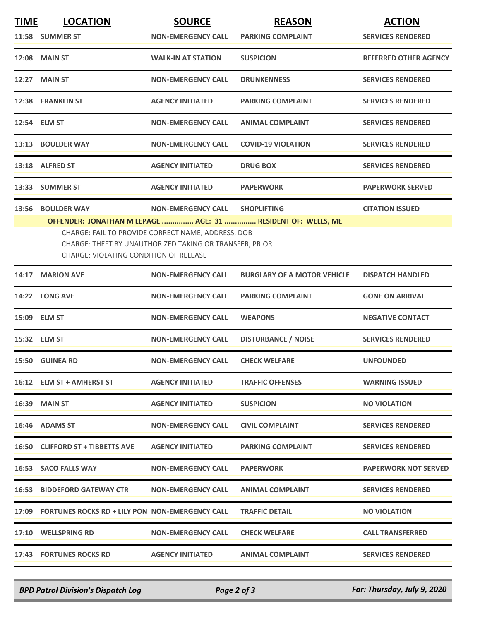| <b>TIME</b> | <b>LOCATION</b>                                       | <b>SOURCE</b>                                                                                                 | <b>REASON</b>                                                                      | <b>ACTION</b>                |
|-------------|-------------------------------------------------------|---------------------------------------------------------------------------------------------------------------|------------------------------------------------------------------------------------|------------------------------|
|             | 11:58 SUMMER ST                                       | <b>NON-EMERGENCY CALL</b>                                                                                     | <b>PARKING COMPLAINT</b>                                                           | <b>SERVICES RENDERED</b>     |
|             | <b>12:08 MAIN ST</b>                                  | <b>WALK-IN AT STATION</b>                                                                                     | <b>SUSPICION</b>                                                                   | <b>REFERRED OTHER AGENCY</b> |
|             | 12:27 MAIN ST                                         | <b>NON-EMERGENCY CALL</b>                                                                                     | <b>DRUNKENNESS</b>                                                                 | <b>SERVICES RENDERED</b>     |
|             | 12:38 FRANKLIN ST                                     | <b>AGENCY INITIATED</b>                                                                                       | <b>PARKING COMPLAINT</b>                                                           | <b>SERVICES RENDERED</b>     |
|             | 12:54 ELM ST                                          | <b>NON-EMERGENCY CALL</b>                                                                                     | <b>ANIMAL COMPLAINT</b>                                                            | <b>SERVICES RENDERED</b>     |
|             | 13:13 BOULDER WAY                                     | <b>NON-EMERGENCY CALL</b>                                                                                     | <b>COVID-19 VIOLATION</b>                                                          | <b>SERVICES RENDERED</b>     |
|             | 13:18 ALFRED ST                                       | <b>AGENCY INITIATED</b>                                                                                       | <b>DRUG BOX</b>                                                                    | <b>SERVICES RENDERED</b>     |
|             | 13:33 SUMMER ST                                       | <b>AGENCY INITIATED</b>                                                                                       | <b>PAPERWORK</b>                                                                   | <b>PAPERWORK SERVED</b>      |
| 13:56       | <b>BOULDER WAY</b>                                    | <b>NON-EMERGENCY CALL</b>                                                                                     | <b>SHOPLIFTING</b><br>OFFENDER: JONATHAN M LEPAGE  AGE: 31  RESIDENT OF: WELLS, ME | <b>CITATION ISSUED</b>       |
|             | <b>CHARGE: VIOLATING CONDITION OF RELEASE</b>         | CHARGE: FAIL TO PROVIDE CORRECT NAME, ADDRESS, DOB<br>CHARGE: THEFT BY UNAUTHORIZED TAKING OR TRANSFER, PRIOR |                                                                                    |                              |
|             | 14:17 MARION AVE                                      | <b>NON-EMERGENCY CALL</b>                                                                                     | <b>BURGLARY OF A MOTOR VEHICLE</b>                                                 | <b>DISPATCH HANDLED</b>      |
|             | 14:22 LONG AVE                                        | <b>NON-EMERGENCY CALL</b>                                                                                     | <b>PARKING COMPLAINT</b>                                                           | <b>GONE ON ARRIVAL</b>       |
|             | 15:09 ELM ST                                          | <b>NON-EMERGENCY CALL</b>                                                                                     | <b>WEAPONS</b>                                                                     | <b>NEGATIVE CONTACT</b>      |
|             | 15:32 ELM ST                                          | <b>NON-EMERGENCY CALL</b>                                                                                     | <b>DISTURBANCE / NOISE</b>                                                         | <b>SERVICES RENDERED</b>     |
|             | 15:50 GUINEA RD                                       | <b>NON-EMERGENCY CALL</b>                                                                                     | <b>CHECK WELFARE</b>                                                               | <b>UNFOUNDED</b>             |
|             | 16:12 ELM ST + AMHERST ST                             | <b>AGENCY INITIATED</b>                                                                                       | <b>TRAFFIC OFFENSES</b>                                                            | <b>WARNING ISSUED</b>        |
|             | 16:39 MAIN ST                                         | <b>AGENCY INITIATED</b>                                                                                       | <b>SUSPICION</b>                                                                   | <b>NO VIOLATION</b>          |
|             | 16:46 ADAMS ST                                        | <b>NON-EMERGENCY CALL</b>                                                                                     | <b>CIVIL COMPLAINT</b>                                                             | <b>SERVICES RENDERED</b>     |
|             | 16:50 CLIFFORD ST + TIBBETTS AVE                      | <b>AGENCY INITIATED</b>                                                                                       | <b>PARKING COMPLAINT</b>                                                           | <b>SERVICES RENDERED</b>     |
|             | 16:53 SACO FALLS WAY                                  | <b>NON-EMERGENCY CALL</b>                                                                                     | <b>PAPERWORK</b>                                                                   | <b>PAPERWORK NOT SERVED</b>  |
|             | <b>16:53 BIDDEFORD GATEWAY CTR</b>                    | <b>NON-EMERGENCY CALL</b>                                                                                     | <b>ANIMAL COMPLAINT</b>                                                            | <b>SERVICES RENDERED</b>     |
|             | 17:09 FORTUNES ROCKS RD + LILY PON NON-EMERGENCY CALL |                                                                                                               | <b>TRAFFIC DETAIL</b>                                                              | <b>NO VIOLATION</b>          |
|             | 17:10 WELLSPRING RD                                   | <b>NON-EMERGENCY CALL</b>                                                                                     | <b>CHECK WELFARE</b>                                                               | <b>CALL TRANSFERRED</b>      |
|             | 17:43 FORTUNES ROCKS RD                               | <b>AGENCY INITIATED</b>                                                                                       | <b>ANIMAL COMPLAINT</b>                                                            | <b>SERVICES RENDERED</b>     |

*BPD Patrol Division's Dispatch Log Page 2 of 3 For: Thursday, July 9, 2020*